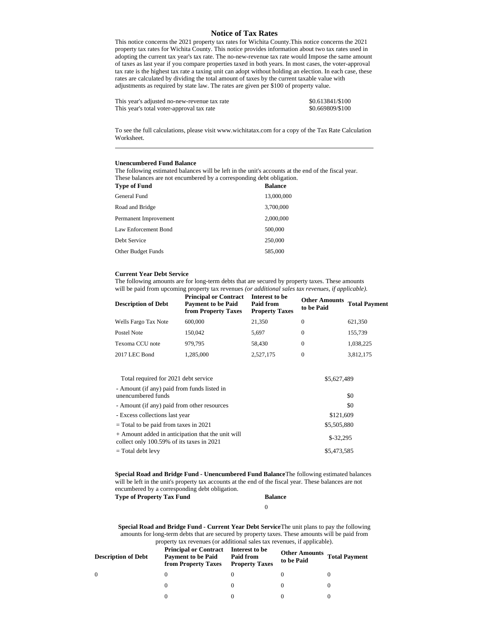## **Notice of Tax Rates**

This notice concerns the 2021 property tax rates for Wichita County.This notice concerns the 2021 property tax rates for Wichita County. This notice provides information about two tax rates used in adopting the current tax year's tax rate. The no-new-revenue tax rate would Impose the same amount of taxes as last year if you compare properties taxed in both years. In most cases, the voter-approval tax rate is the highest tax rate a taxing unit can adopt without holding an election. In each case, these rates are calculated by dividing the total amount of taxes by the current taxable value with adjustments as required by state law. The rates are given per \$100 of property value.

| This year's adjusted no-new-revenue tax rate | \$0.613841/\$100 |
|----------------------------------------------|------------------|
| This year's total voter-approval tax rate    | \$0.669809/\$100 |

To see the full calculations, please visit www.wichitatax.com for a copy of the Tax Rate Calculation Worksheet.

## **Unencumbered Fund Balance**

The following estimated balances will be left in the unit's accounts at the end of the fiscal year. These balances are not encumbered by a corresponding debt obligation.<br>These of Fanal

| Type of Fund          | <b>Balance</b> |
|-----------------------|----------------|
| General Fund          | 13,000,000     |
| Road and Bridge       | 3,700,000      |
| Permanent Improvement | 2,000,000      |
| Law Enforcement Bond  | 500,000        |
| Debt Service          | 250,000        |
| Other Budget Funds    | 585,000        |

## **Current Year Debt Service**

The following amounts are for long-term debts that are secured by property taxes. These amounts will be paid from upcoming property tax revenues *(or additional sales tax revenues, if applicable).*

| <b>Description of Debt</b> | <b>Principal or Contract</b><br><b>Payment to be Paid</b><br>from Property Taxes | Interest to be<br>Paid from<br><b>Property Taxes</b> | <b>Other Amounts</b><br>to be Paid | <b>Total Payment</b> |
|----------------------------|----------------------------------------------------------------------------------|------------------------------------------------------|------------------------------------|----------------------|
| Wells Fargo Tax Note       | 600,000                                                                          | 21,350                                               | 0                                  | 621,350              |
| Postel Note                | 150,042                                                                          | 5.697                                                | $\Omega$                           | 155,739              |
| Texoma CCU note            | 979.795                                                                          | 58,430                                               | $\Omega$                           | 1,038,225            |
| 2017 LEC Bond              | 1,285,000                                                                        | 2,527,175                                            | $\Omega$                           | 3,812,175            |
|                            |                                                                                  |                                                      |                                    |                      |

| Total required for 2021 debt service                                                           | \$5,627,489 |  |
|------------------------------------------------------------------------------------------------|-------------|--|
| - Amount (if any) paid from funds listed in<br>unencumbered funds                              | \$0         |  |
| - Amount (if any) paid from other resources                                                    | \$0         |  |
| - Excess collections last year                                                                 | \$121,609   |  |
| = Total to be paid from taxes in 2021                                                          | \$5,505,880 |  |
| + Amount added in anticipation that the unit will<br>collect only 100.59% of its taxes in 2021 | $$-32.295$  |  |
| = Total debt levy                                                                              | \$5.473.585 |  |

**Special Road and Bridge Fund - Unencumbered Fund Balance**The following estimated balances will be left in the unit's property tax accounts at the end of the fiscal year. These balances are not encumbered by a corresponding debt obligation. **Type of Property Tax Fund Balance**

## 0

**Special Road and Bridge Fund - Current Year Debt Service**The unit plans to pay the following amounts for long-term debts that are secured by property taxes. These amounts will be paid from property tax revenues (or additional sales tax revenues, if applicable).

| <b>Description of Debt</b> | <b>Principal or Contract</b><br><b>Payment to be Paid</b><br>from Property Taxes | Interest to be<br>Paid from<br><b>Property Taxes</b> | <b>Other Amounts</b><br>to be Paid | <b>Total Payment</b> |
|----------------------------|----------------------------------------------------------------------------------|------------------------------------------------------|------------------------------------|----------------------|
| $\Omega$                   |                                                                                  |                                                      |                                    |                      |
|                            |                                                                                  |                                                      |                                    |                      |
|                            |                                                                                  |                                                      |                                    |                      |